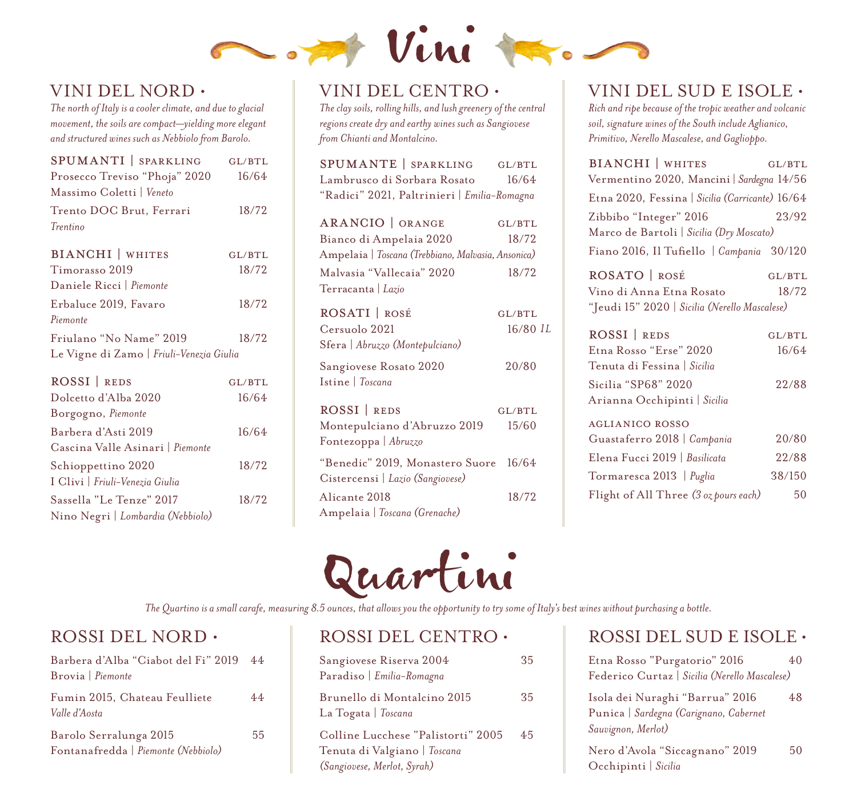

#### VINI DEL NORD •

*The north of Italy is a cooler climate, and due to glacial movement, the soils are compact—yielding more elegant and structured wines such as Nebbiolo from Barolo.*

| SPUMANTI   SPARKLING                     | GL/BTL |
|------------------------------------------|--------|
| Prosecco Treviso "Phoja" 2020            | 16/64  |
| Massimo Coletti   Veneto                 |        |
| Trento DOC Brut, Ferrari                 | 18/72  |
| Trentino                                 |        |
| <b>BIANCHI</b>   WHITES                  | GL/BTL |
| Timorasso 2019                           | 18/72  |
| Daniele Ricci   Piemonte                 |        |
| Erbaluce 2019, Favaro                    | 18/72  |
| Piemonte                                 |        |
| Friulano "No Name" 2019                  | 18/72  |
| Le Vigne di Zamo   Friuli-Venezia Giulia |        |
| ROSSI REDS                               | GL/BTL |
| Dolcetto d'Alba 2020                     | 16/64  |
| Borgogno, Piemonte                       |        |
| Barbera d'Asti 2019                      | 16/64  |
| Cascina Valle Asinari   Piemonte         |        |
| Schioppettino 2020                       | 18/72  |
| I Clivi   Friuli-Venezia Giulia          |        |
| Sassella "Le Tenze" 2017                 | 18/72  |
| Nino Negri   Lombardia (Nebbiolo)        |        |

#### VINI DEL CENTRO •

*The clay soils, rolling hills, and lush greenery of the central regions create dry and earthy wines such as Sangiovese from Chianti and Montalcino.*

| SPUMANTE SPARKLING GL/BTL                          |              |
|----------------------------------------------------|--------------|
| Lambrusco di Sorbara Rosato                        | 16/64        |
| "Radici" 2021, Paltrinieri   Emilia-Romagna        |              |
|                                                    |              |
| ARANCIO   ORANGE                                   | GL/BTL       |
| Bianco di Ampelaia 2020                            | 18/72        |
| Ampelaia   Toscana (Trebbiano, Malvasia, Ansonica) |              |
| Malvasia "Vallecaia" 2020                          | 18/72        |
| Terracanta   Lazio                                 |              |
| ROSATI   ROSÉ                                      | GL/BTL       |
| Cersuolo 2021                                      | $16/80$ $1L$ |
| Sfera   Abruzzo (Montepulciano)                    |              |
| Sangiovese Rosato 2020                             | 20/80        |
| Istine   Toscana                                   |              |
| ROSSI REDS                                         | GL/BTL       |
| Montepulciano d'Abruzzo 2019                       | 15/60        |
| Fontezoppa   Abruzzo                               |              |
| "Benedic" 2019, Monastero Suore                    | 16/64        |
| Cistercensi   Lazio (Sangiovese)                   |              |
| Alicante 2018                                      | 18/72        |
| Ampelaia   Toscana (Grenache)                      |              |

# Quartini

*The Quartino is a small carafe, measuring 8.5 ounces, that allows you the opportunity to try some of Italy's best wines without purchasing a bottle.*

### ROSSI DEL NORD •

| Barbera d'Alba "Ciabot del Fi" 2019<br>Brovia Piemonte        | 44 |
|---------------------------------------------------------------|----|
| Fumin 2015, Chateau Feulliete<br>Valle d'Aosta                | 44 |
| Barolo Serralunga 2015<br>Fontanafredda   Piemonte (Nebbiolo) | 55 |

#### ROSSI DEL CENTRO •

| Sangiovese Riserva 2004<br>Paradiso   Emilia-Romagna                                              | 35 |
|---------------------------------------------------------------------------------------------------|----|
| Brunello di Montalcino 2015<br>La Togata   Toscana                                                | 35 |
| Colline Lucchese "Palistorti" 2005<br>Tenuta di Valgiano   Toscana<br>(Sangiovese, Merlot, Syrah) | 45 |

### VINI DEL SUD E ISOLE •

*Rich and ripe because of the tropic weather and volcanic soil, signature wines of the South include Aglianico, Primitivo, Nerello Mascalese, and Gaglioppo.*

| <b>BIANCHI</b>   WHITES                         | GL/BTL |
|-------------------------------------------------|--------|
| Vermentino 2020, Mancini   Sardegna 14/56       |        |
| Etna 2020, Fessina   Sicilia (Carricante) 16/64 |        |
| Zibbibo "Integer" 2016                          | 23/92  |
| Marco de Bartoli   Sicilia (Dry Moscato)        |        |
| Fiano 2016, Il Tufiello   Campania 30/120       |        |
| $\sim$ $\sim$ $\sim$ $\sim$ $\sim$ $\sim$       |        |

ROSATO | ROSÉ GL/BTL Vino di Anna Etna Rosato 18/72 "Jeudi 15" 2020 | *Sicilia (Nerello Mascalese)*

| ROSSI REDS                            | GL/BTL |
|---------------------------------------|--------|
| Etna Rosso "Erse" 2020                | 16/64  |
| Tenuta di Fessina   Sicilia           |        |
| Sicilia "SP68" 2020                   | 22/88  |
| Arianna Occhipinti   Sicilia          |        |
| <b>AGLIANICO ROSSO</b>                |        |
| Guastaferro 2018   Campania           | 20/80  |
| Elena Fucci 2019   Basilicata         | 22/88  |
| Tormaresca 2013   Puglia              | 38/150 |
| Flight of All Three (3 oz pours each) | 50     |

#### ROSSI DEL SUD E ISOLE •

| Etna Rosso "Purgatorio" 2016                                                                    | 40 |
|-------------------------------------------------------------------------------------------------|----|
| Federico Curtaz   Sicilia (Nerello Mascalese)                                                   |    |
| Isola dei Nuraghi "Barrua" 2016<br>Punica   Sardegna (Carignano, Cabernet<br>Sauvignon, Merlot) | 48 |
| Nero d'Avola "Siccagnano" 2019<br>Occhipinti   Sicilia                                          | 50 |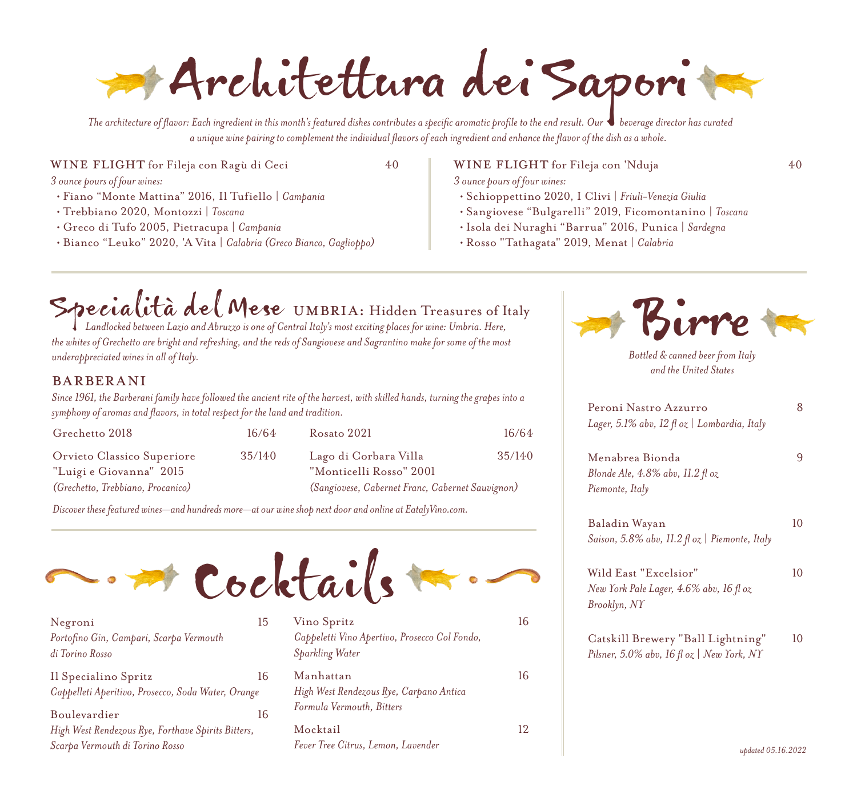Architettura dei Sapori

*The architecture of flavor: Each ingredient in this month's featured dishes contributes a specific aromatic profile to the end result. Our beverage director has curated a unique wine pairing to complement the individual flavors of each ingredient and enhance the flavor of the dish as a whole.*

WINE FLIGHT for Fileja con Ragù di Ceci 40

*3 ounce pours of four wines:*

- Fiano "Monte Mattina" 2016, Il Tufiello | *Campania*
- Trebbiano 2020, Montozzi | *Toscana*
- Greco di Tufo 2005, Pietracupa | *Campania*
- Bianco "Leuko" 2020, 'A Vita | *Calabria (Greco Bianco, Gaglioppo)*

WINE FLIGHT for Fileja con 'Nduja 40

*3 ounce pours of four wines:*

- Schioppettino 2020, I Clivi | *Friuli-Venezia Giulia*
- Sangiovese "Bulgarelli" 2019, Ficomontanino | *Toscana*
- Isola dei Nuraghi "Barrua" 2016, Punica | *Sardegna*
- Rosso "Tathagata" 2019, Menat | *Calabria*

## Specialità del Mese UMBRIA: Hidden Treasures of Italy<br>*Landlocked between Lazio and Abruzzo is one of Central Italy's most exciting places for wine: Umbria. Here,*

*the whites of Grechetto are bright and refreshing, and the reds of Sangiovese and Sagrantino make for some of the most underappreciated wines in all of Italy.* 

#### barberani

*Since 1961, the Barberani family have followed the ancient rite of the harvest, with skilled hands, turning the grapes into a symphony of aromas and flavors, in total respect for the land and tradition.*

| Grechetto 2018                    | 16/64  |
|-----------------------------------|--------|
| Orvieto Classico Superiore        | 35/140 |
| "Luigi e Giovanna" 2015           |        |
| (Grechetto, Trebbiano, Procanico) |        |

| Rosato 2021                                      | 16/64  |
|--------------------------------------------------|--------|
| Lago di Corbara Villa                            | 35/140 |
| "Monticelli Rosso" 2001                          |        |
| (Sangiovese, Cabernet Franc, Cabernet Sauvignon) |        |

*Discover these featured wines—and hundreds more—at our wine shop next door and online at EatalyVino.com.*



| Negroni                                            | 15 |
|----------------------------------------------------|----|
| Portofino Gin, Campari, Scarpa Vermouth            |    |
| di Torino Rosso                                    |    |
| Il Specialino Spritz                               | 16 |
| Cappelleti Aperitivo, Prosecco, Soda Water, Orange |    |
| Boulevardier                                       | 16 |
| High West Rendezous Rye, Forthave Spirits Bitters, |    |
| Scarpa Vermouth di Torino Rosso                    |    |

| Vino Spritz                                                             | 16 |
|-------------------------------------------------------------------------|----|
| Cappeletti Vino Apertivo, Prosecco Col Fondo,<br><b>Sparkling Water</b> |    |
| Manhattan                                                               | 16 |
| High West Rendezous Rye, Carpano Antica                                 |    |
| Formula Vermouth, Bitters                                               |    |
| Mocktail                                                                | 12 |
| Fever Tree Citrus, Lemon, Lavender                                      |    |



*and the United States*

| Peroni Nastro Azzurro<br>Lager, 5.1% abv, 12 fl oz   Lombardia, Italy | 8  |
|-----------------------------------------------------------------------|----|
|                                                                       |    |
| Menabrea Bionda                                                       | 9  |
| Blonde Ale, 4.8% abv, 11.2 fl oz                                      |    |
| Piemonte, Italy                                                       |    |
| Baladin Wayan                                                         | 10 |
| Saison, 5.8% abv, 11.2 fl oz   Piemonte, Italy                        |    |
| Wild East "Excelsior"                                                 | 10 |
| New York Pale Lager, 4.6% abv, 16 fl oz                               |    |
| Brooklyn, NY                                                          |    |
| Catskill Brewery "Ball Lightning"                                     | 10 |
| Pilsner, 5.0% abv, 16 fl oz   New York, NY                            |    |
|                                                                       |    |
|                                                                       |    |